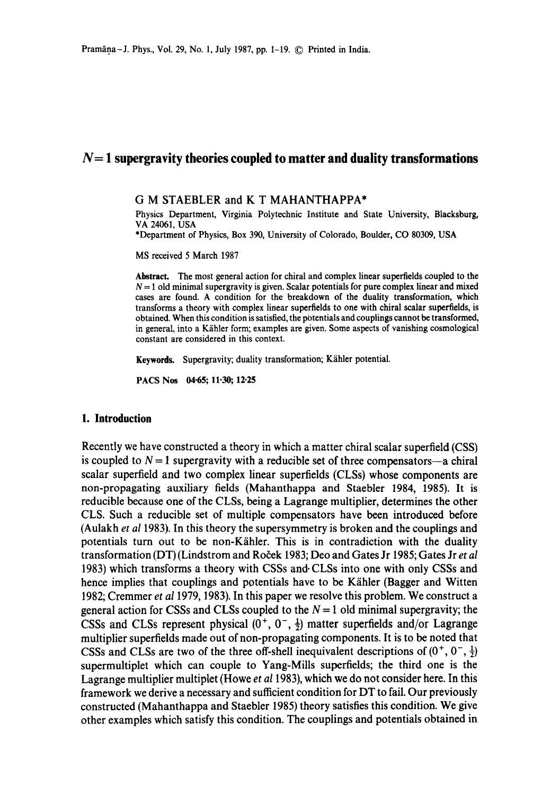## **N= 1 supergravity theories coupled to matter and duality transformations**

#### **G M** STAEBLER and **K T** MAHANTHAPPA\*

Physics Department, Virginia Polytechnic Institute and State University, Blacksburg, VA 24061, USA

\*Department of Physics, Box 390, University of Colorado, Boulder, CO 80309, USA

MS received 5 March 1987

**Abstract.** The most general action for chiral and complex linear superfields coupled to the  $N = 1$  old minimal supergravity is given. Scalar potentials for pure complex linear and mixed cases are found. A condition for the breakdown of the duality transformation, which transforms a theory with complex linear superfields to one with chiral scalar superfields, is obtained. When this condition is satisfied, the potentials and couplings cannot be transformed, in general, into a Kähler form; examples are given. Some aspects of vanishing cosmological constant are considered in this context.

Keywords. Supergravity; duality transformation; Kähler potential.

PACS Nos 04.65; 11.30; 12.25

## **1. Introduction**

Recently we have constructed a theory in which a matter chiral scalar superfield (CSS) is coupled to  $N = 1$  supergravity with a reducible set of three compensators---a chiral scalar superfield and two complex linear superfields (CLSs) whose components are non-propagating auxiliary fields (Mahanthappa and Staebler 1984, 1985). It is reducible because one of the CLSs, being a Lagrange multiplier, determines the other CLS. Such a reducible set of multiple compensators have been introduced before (Aulakh *et al* 1983). In this theory the supersymmetry is broken and the couplings and potentials turn out to be non-K/ihler. This is in contradiction with the duality transformation (DT) (Lindstrom and Roček 1983; Deo and Gates Jr 1985; Gates Jr *et al* 1983) which transforms a theory with CSSs and-CLSs into one with only CSSs and hence implies that couplings and potentials have to be Kähler (Bagger and Witten 1982; Cremmer *et a11979,* 1983). In this paper we resolve this problem. We construct a general action for CSSs and CLSs coupled to the  $N = 1$  old minimal supergravity; the CSSs and CLSs represent physical  $(0^+, 0^-, \frac{1}{2})$  matter superfields and/or Lagrange multiplier superfields made out of non-propagating components. It is to be noted that CSSs and CLSs are two of the three off-shell inequivalent descriptions of  $(0^+, 0^-, \frac{1}{2})$ supermultiplet which can couple to Yang-Mills superfields; the third one is the Lagrange multiplier multiplet (Howe *et al* 1983), which we do not consider here. In this framework we derive a necessary and sufficient condition for DT to fail. Our previously constructed (Mahanthappa and Staebler 1985) theory satisfies this condition. We give other examples which satisfy this condition. The couplings and potentials obtained in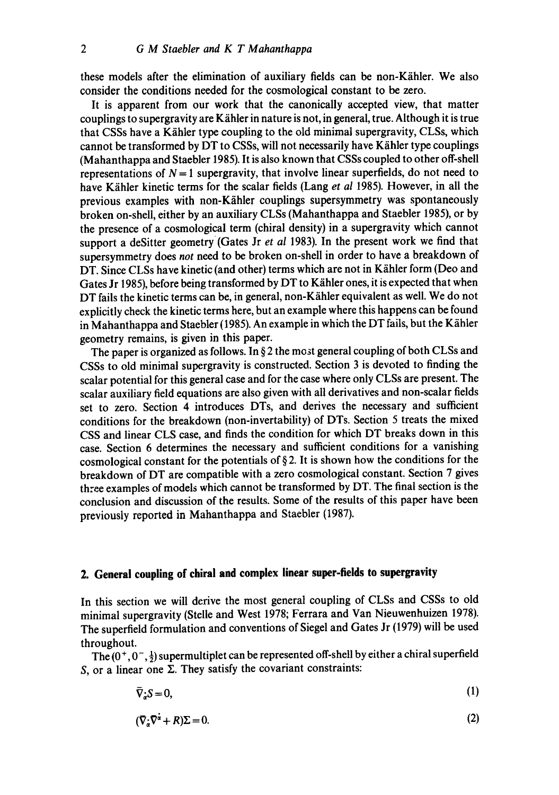these models after the elimination of auxiliary fields can be non-Kähler. We also consider the conditions needed for the cosmological constant to be zero.

It is apparent from our work that the canonically accepted view, that matter couplings to supergravity are Kähler in nature is not, in general, true. Although it is true that CSSs have a Kähler type coupling to the old minimal supergravity, CLSs, which cannot be transformed by DT to CSSs, will not necessarily have K/ihler type couplings (Mahanthappa and Staebler 1985). It is also known that CSSs coupled to other off-shell representations of  $N = 1$  supergravity, that involve linear superfields, do not need to have K/ihler kinetic terms for the scalar fields (Lang *et al* 1985). However, in all the previous examples with non-Kähler couplings supersymmetry was spontaneously broken on-shell, either by an auxiliary CLSs (Mahanthappa and Staebler 1985), or by the presence of a cosmological term (chiral density) in a supergravity which cannot support a deSitter geometry (Gates Jr *et al 1983*). In the present work we find that supersymmetry does *not* need to be broken on-shell in order to have a breakdown of DT. Since CLSs have kinetic (and other) terms which are not in Kähler form (Deo and Gates Jr 1985), before being transformed by DT to Kähler ones, it is expected that when DT fails the kinetic terms can be, in general, non-Kähler equivalent as well. We do not explicitly check the kinetic terms here, but an example where this happens can be found in Mahanthappa and Staebler (1985). An example in which the DT fails, but the Kähler geometry remains, is given in this paper.

The paper is organized as follows. In  $\S 2$  the most general coupling of both CLSs and CSSs to old minimal supergravity is constructed. Section 3 is devoted to finding the scalar potential for this general case and for the case where only CLSs are present. The scalar auxiliary field equations are also given with all derivatives and non-scalar fields set to zero. Section 4 introduces DTs, and derives the necessary and sufficient conditions for the breakdown (non-invertability) of DTs. Section 5 treats the mixed CSS and linear CLS case, and finds the condition for which DT breaks down in this case. Section 6 determines the necessary and sufficient conditions for a vanishing cosmological constant for the potentials of  $\S 2$ . It is shown how the conditions for the breakdown of DT are compatible with a zero cosmological constant. Section 7 gives three examples of models which cannot be transformed by DT, The final section is the conclusion and discussion of the results. Some of the results of this paper have been previously reported in Mahanthappa and Staebler (1987).

# **2. General coupling of chiral and complex linear super-fields to supergravity**

In this section we will derive the most general coupling of CLSs and CSSs to old minimal supergravity (Stclle and West 1978; Ferrara and Van Nieuwenhuizen 1978). The superfield formulation and conventions of Siegel and Gates Jr (1979) will be used throughout.

The  $(0^+, 0^-, \frac{1}{2})$  supermultiplet can be represented off-shell by either a chiral superfield S, or a linear one  $\Sigma$ . They satisfy the covariant constraints:

$$
\bar{\nabla}_{\dot{\alpha}}S = 0,\tag{1}
$$

$$
(\nabla_z \nabla^{\dot{\alpha}} + R)\Sigma = 0. \tag{2}
$$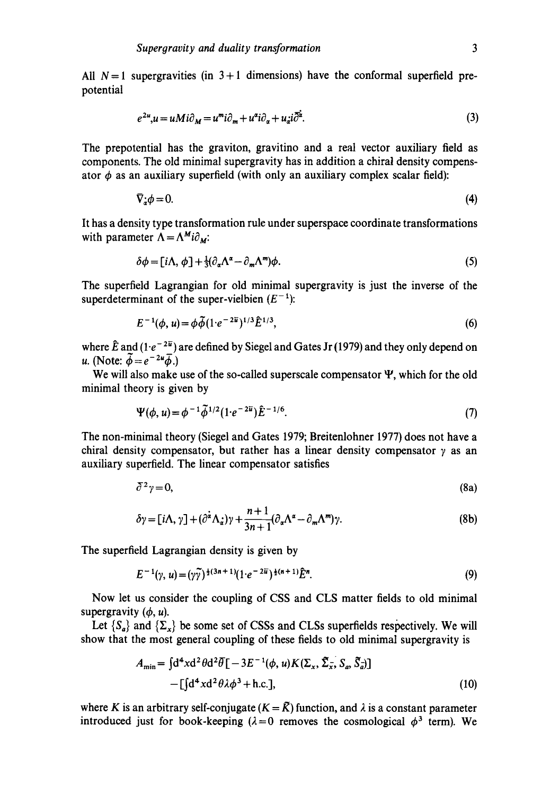All  $N=1$  supergravities (in  $3+1$  dimensions) have the conformal superfield prepotential

$$
e^{2u}, u = uMi\partial_M = u^m i\partial_m + u^a i\partial_a + u_a i\overline{\partial}^{\dot{\alpha}}.
$$
\n(3)

The prepotential has the graviton, gravitino and a real vector auxiliary field as components. The old minimal supergravity has in addition a chiral density compensator  $\phi$  as an auxiliary superfield (with only an auxiliary complex scalar field):

$$
\nabla_{\dot{x}}\phi = 0. \tag{4}
$$

It has a density type transformation rule under superspace coordinate transformations with parameter  $\Lambda = \Lambda^M i \partial_M$ .

$$
\delta\phi = [i\Lambda, \phi] + \frac{1}{3}(\partial_{\alpha}\Lambda^{\alpha} - \partial_{m}\Lambda^{m})\phi. \tag{5}
$$

The superfield Lagrangian for old minimal supergravity is just the inverse of the superdeterminant of the super-vielbien  $(E^{-1})$ :

$$
E^{-1}(\phi, u) = \phi \widetilde{\phi} (1 \cdot e^{-2\widetilde{u}})^{1/3} \widehat{E}^{1/3}, \tag{6}
$$

where  $\hat{E}$  and  $(1 \cdot e^{-2\bar{u}})$  are defined by Siegel and Gates Jr (1979) and they only depend on u. (Note:  $\vec{\phi} = e^{-2u} \vec{\phi}$ .)

We will also make use of the so-called superscale compensator  $\Psi$ , which for the old minimal theory is given by

$$
\Psi(\phi, u) = \phi^{-1} \tilde{\phi}^{1/2} (1 \cdot e^{-2\bar{u}}) \tilde{E}^{-1/6}.
$$
\n(7)

The non-minimal theory (Siegel and Gates 1979; Breitenlohner 1977) does not have a chiral density compensator, but rather has a linear density compensator  $\gamma$  as an auxiliary superfield. The linear compensator satisfies

$$
\bar{\partial}^2 \gamma = 0,\tag{8a}
$$

$$
\delta \gamma = [i\Lambda, \gamma] + (\partial^{\dot{\alpha}} \Lambda_{\dot{\alpha}}) \gamma + \frac{n+1}{3n+1} (\partial_{\alpha} \Lambda^{\alpha} - \partial_{m} \Lambda^{m}) \gamma.
$$
 (8b)

The superfield Lagrangian density is given by

$$
E^{-1}(\gamma, u) = (\gamma \widetilde{\gamma})^{\frac{1}{2}(3n+1)} (1 \cdot e^{-2\widetilde{u}})^{\frac{1}{2}(n+1)} \widetilde{E}^n. \tag{9}
$$

Now let us consider the coupling of CSS and CLS matter fields to old minimal supergravity  $(\phi, u)$ .

Let  $\{S_a\}$  and  $\{\Sigma_x\}$  be some set of CSSs and CLSs superfields respectively. We will show that the most general coupling of these fields to old minimal supergravity is

$$
A_{\min} = \int d^4x d^2\theta d^2\overline{\theta} \left[ -3E^{-1}(\phi, u) K(\Sigma_x, \tilde{\Sigma}_x, S_a, \tilde{S}_a) \right]
$$
  
-
$$
- \left[ \int d^4x d^2\theta \lambda \phi^3 + \text{h.c.} \right],
$$
 (10)

where K is an arbitrary self-conjugate  $(K = \tilde{K})$  function, and  $\lambda$  is a constant parameter introduced just for book-keeping ( $\lambda = 0$  removes the cosmological  $\phi^3$  term). We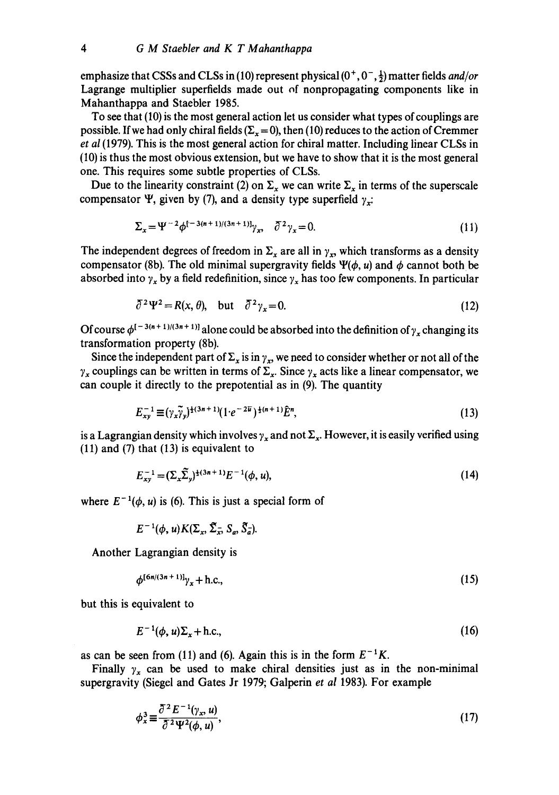emphasize that CSSs and CLSs in (10) represent physical  $(0^+, 0^-, \frac{1}{2})$  matter fields *and/or* Lagrange multiplier superfields made out of nonpropagating components like in Mahanthappa and Staebler 1985.

To see that (10) is the most general action let us consider what types of couplings are possible. If we had only chiral fields  $(\Sigma_{\rm x}=0)$ , then (10) reduces to the action of Cremmer *et al* (1979). This is the most general action for chiral matter. Including linear CLSs in (10) is thus the most obvious extension, but we have to show that it is the most general one. This requires some subtle properties of CLSs.

Due to the linearity constraint (2) on  $\Sigma_x$  we can write  $\Sigma_x$  in terms of the superscale compensator  $\Psi$ , given by (7), and a density type superfield  $\gamma$ .

$$
\Sigma_x = \Psi^{-2} \phi^{[-3(n+1)/(3n+1)]} \gamma_x, \quad \bar{\partial}^2 \gamma_x = 0. \tag{11}
$$

The independent degrees of freedom in  $\Sigma_x$  are all in  $\gamma_x$ , which transforms as a density compensator (8b). The old minimal supergravity fields  $\Psi(\phi, u)$  and  $\phi$  cannot both be absorbed into  $\gamma_x$  by a field redefinition, since  $\gamma_x$  has too few components. In particular

$$
\bar{\partial}^2 \Psi^2 = R(x, \theta), \quad \text{but} \quad \bar{\partial}^2 \gamma_x = 0. \tag{12}
$$

Of course  $\phi^{[-3(n+1)/(3n+1)]}$  alone could be absorbed into the definition of  $\gamma_r$  changing its transformation property (8b).

Since the independent part of  $\Sigma_x$  is in  $\gamma_x$ , we need to consider whether or not all of the  $\gamma_x$  couplings can be written in terms of  $\Sigma_x$ . Since  $\gamma_x$  acts like a linear compensator, we can couple it directly to the prepotential as in (9). The quantity

$$
E_{xy}^{-1} \equiv (\gamma_x \tilde{\gamma}_y)^{\frac{1}{2}(3n+1)} (1 \cdot e^{-2\overline{u}})^{\frac{1}{2}(n+1)} \hat{E}^n, \tag{13}
$$

is a Lagrangian density which involves  $\gamma_x$  and not  $\Sigma_x$ . However, it is easily verified using (11) and (7) that (13) is equivalent to

$$
E_{xy}^{-1} = (\Sigma_x \tilde{\Sigma}_y)^{\frac{1}{2}(3n+1)} E^{-1}(\phi, u), \tag{14}
$$

where  $E^{-1}(\phi, u)$  is (6). This is just a special form of

$$
E^{-1}(\phi, u)K(\Sigma_x, \tilde{\Sigma}_x, S_a, \tilde{S}_a).
$$

Another Lagrangian density is

$$
\phi^{[6n/(3n+1)]}\gamma_x + h.c.,
$$
\n(15)

but this is equivalent to

$$
E^{-1}(\phi, u)\Sigma_x + \text{h.c.},\tag{16}
$$

as can be seen from (11) and (6). Again this is in the form  $E^{-1}K$ .

Finally  $\gamma_x$  can be used to make chiral densities just as in the non-minimal supergravity (Siegel and Gates Jr 1979; Galperin *et al* 1983). For example

$$
\phi_x^3 \equiv \frac{\partial^2 E^{-1}(\gamma_x, u)}{\partial^2 \Psi^2(\phi, u)},\tag{17}
$$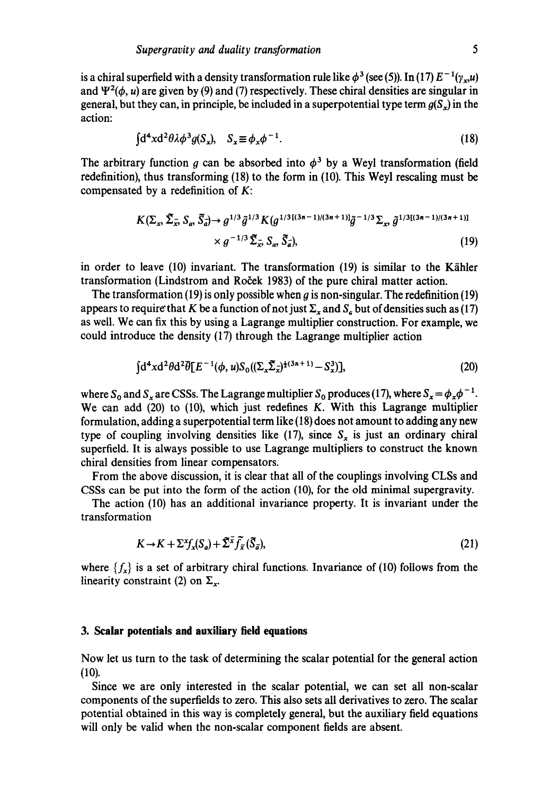is a chiral superfield with a density transformation rule like  $\phi^3$  (see (5)). In (17)  $E^{-1}(\gamma, u)$ and  $\Psi^2(\phi, u)$  are given by (9) and (7) respectively. These chiral densities are singular in general, but they can, in principle, be included in a superpotential type term  $q(S<sub>x</sub>)$  in the action:

$$
\int d^4x d^2\theta \lambda \phi^3 g(S_x), \quad S_x \equiv \phi_x \phi^{-1}.
$$
 (18)

The arbitrary function g can be absorbed into  $\phi^3$  by a Weyl transformation (field redefinition), thus transforming (18) to the form in (10). This Weyl rescaling must be compensated by a redefinition of K:

$$
K(\Sigma_x, \tilde{\Sigma}_x, S_a, \tilde{S}_a) \to g^{1/3} \tilde{g}^{1/3} K(g^{1/3[(3n-1)/(3n+1)]} \tilde{g}^{-1/3} \Sigma_x, \tilde{g}^{1/3[(3n-1)/(3n+1)]}
$$
  
×  $g^{-1/3} \tilde{\Sigma}_x, S_a, \tilde{S}_a),$  (19)

in order to leave  $(10)$  invariant. The transformation  $(19)$  is similar to the Kähler transformation (Lindstrom and Roček 1983) of the pure chiral matter action.

The transformation (19) is only possible when g is non-singular. The redefinition (19) appears to require that K be a function of not just  $\Sigma_{\rm x}$  and  $S_{\rm z}$  but of densities such as (17) as well. We can fix this by using a Lagrange multiplier construction. For example, we could introduce the density (17) through the Lagrange multiplier action

$$
\int d^4x d^2\theta d^2\bar{\theta} [E^{-1}(\phi, u) S_0((\Sigma_x \tilde{\Sigma}_x)^{\frac{1}{2}(3n+1)} - S_x^3)], \qquad (20)
$$

where  $S_0$  and  $S_x$  are CSSs. The Lagrange multiplier  $S_0$  produces (17), where  $S_x = \phi_x \phi^{-1}$ . We can add (20) to (10), which just redefines K. With this Lagrange multiplier formulation, adding a superpotential term like (18) does not amount to adding any new type of coupling involving densities like (17), since  $S_x$  is just an ordinary chiral superfield. It is always possible to use Lagrange multipliers to construct the known chiral densities from linear compensators.

From the above discussion, it is clear that all of the couplings involving CLSs and CSSs can be put into the form of the action (10), for the old minimal supergravity.

The action (10) has an additional invariance property. It is invariant under the transformation

$$
K \to K + \Sigma^x f_x(S_a) + \tilde{\Sigma}^x \tilde{f}_{\bar{x}}(\tilde{S}_{\bar{a}}),
$$
\n(21)

where  $\{f_x\}$  is a set of arbitrary chiral functions. Invariance of (10) follows from the linearity constraint (2) on  $\Sigma_x$ .

#### **3. Scalar potentials and auxiliary field equations**

Now let us turn to the task of determining the scalar potential for the general action (10).

Since we are only interested in the scalar potential, we can set all non-scalar components of the superfields to zero. This also sets all derivatives to zero. The scalar potential obtained in this way is completely general, but the auxiliary field equations will only be valid when the non-scalar component fields are absent.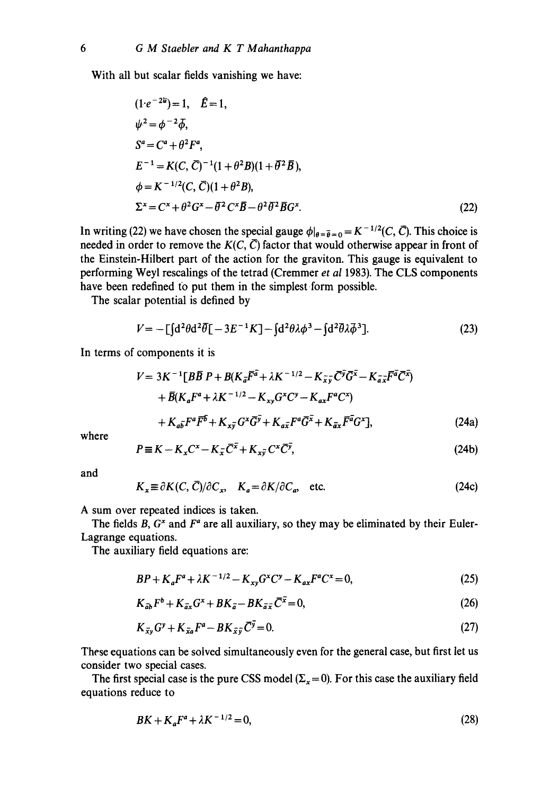With all but scalar fields vanishing we have:

$$
(1 \cdot e^{-2\overline{u}}) = 1, \quad \overline{E} = 1,
$$
  
\n
$$
\psi^2 = \phi^{-2} \overline{\phi},
$$
  
\n
$$
S^a = C^a + \theta^2 F^a,
$$
  
\n
$$
E^{-1} = K(C, \overline{C})^{-1} (1 + \theta^2 B)(1 + \overline{\theta}^2 \overline{B}),
$$
  
\n
$$
\phi = K^{-1/2} (C, \overline{C}) (1 + \theta^2 B),
$$
  
\n
$$
\Sigma^x = C^x + \theta^2 G^x - \overline{\theta}^2 C^x \overline{B} - \theta^2 \overline{\theta}^2 \overline{B} G^x.
$$
\n(22)

In writing (22) we have chosen the special gauge  $\phi|_{\theta=\bar{\theta}=0} = K^{-1/2}(C, \bar{C})$ . This choice is needed in order to remove the  $K(C, \overline{C})$  factor that would otherwise appear in front of the Einstein-Hilbert part of the action for the graviton. This gauge is equivalent to performing Weyl rescalings of the tetrad (Cremmer *et al* 1983). The CLS components have been redefined to put them in the simplest form possible.

The scalar potential is defined by

$$
V = -\left[\int d^2\theta d^2\overline{\theta}\right] - 3E^{-1}K\right] - \int d^2\theta \lambda \phi^3 - \int d^2\overline{\theta} \lambda \overline{\phi}^3.
$$
 (23)

**In** terms of components it is

$$
V = 3K^{-1}[B\overline{B}P + B(K_{\overline{a}}\overline{F}^{\overline{a}} + \lambda K^{-1/2} - K_{\overline{x}\overline{y}}\overline{C}^{\overline{y}}\overline{G}^{\overline{x}} - K_{\overline{a}\overline{x}}\overline{F}^{\overline{a}}\overline{C}^{\overline{x}}) + \overline{B}(K_{a}F^{a} + \lambda K^{-1/2} - K_{xy}G^{x}C^{y} - K_{ax}F^{a}C^{x}) + K_{a\overline{b}}F^{a}\overline{F}^{b} + K_{x\overline{y}}G^{x}\overline{G}^{\overline{y}} + K_{a\overline{x}}F^{a}\overline{G}^{\overline{x}} + K_{\overline{a}x}\overline{F}^{\overline{a}}G^{x}],
$$
\n(24a)

where

$$
P \equiv K - K_x C^x - K_{\overline{x}} \overline{C}^{\overline{x}} + K_{x\overline{y}} C^x \overline{C}^{\overline{y}},
$$
\n(24b)

and

$$
K_x \equiv \partial K(C, \bar{C})/\partial C_x, \quad K_a = \partial K/\partial C_a, \quad \text{etc.}
$$
 (24c)

A sum over repeated indices is taken.

The fields B,  $G^x$  and  $F^a$  are all auxiliary, so they may be eliminated by their Euler-Lagrange equations.

The auxiliary field equations are:

$$
BP + K_a F^a + \lambda K^{-1/2} - K_{xy} G^x C^y - K_{ax} F^a C^x = 0,
$$
\n(25)

$$
K_{\bar{a}\bar{b}}F^b + K_{\bar{a}x}G^x + BK_{\bar{a}} - BK_{\bar{a}\bar{x}}\bar{C}^{\bar{x}} = 0, \tag{26}
$$

$$
K_{\bar{x}y}G^y + K_{\bar{x}a}F^a - BK_{\bar{x}\bar{y}}\bar{C}^{\bar{y}} = 0. \tag{27}
$$

These equations can be solved simultaneously even for the general case, but first let us consider two special cases.

The first special case is the pure CSS model ( $\Sigma_x = 0$ ). For this case the auxiliary field equations reduce to

$$
BK + K_a F^a + \lambda K^{-1/2} = 0,\t(28)
$$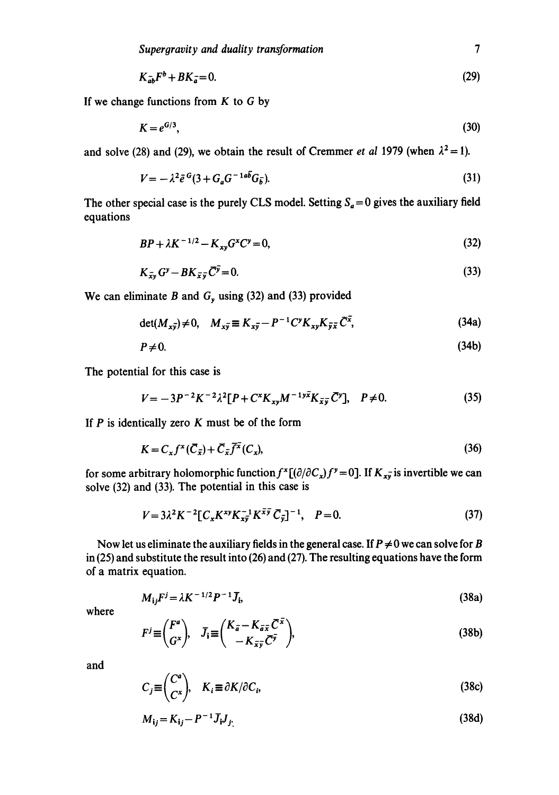$$
K_{\bar{a}b}F^b + BK_{\bar{a}} = 0. \tag{29}
$$

If we change functions from  $K$  to  $G$  by

$$
K = e^{G/3},\tag{30}
$$

and solve (28) and (29), we obtain the result of Cremmer *et al* 1979 (when  $\lambda^2 = 1$ ).

$$
V = -\lambda^2 \bar{e}^G (3 + G_a G^{-1 a b} G_{\bar{b}}). \tag{31}
$$

The other special case is the purely CLS model. Setting  $S_a = 0$  gives the auxiliary field equations

$$
BP + \lambda K^{-1/2} - K_{xy}G^{x}C^{y} = 0,
$$
\n(32)

$$
K_{\bar{x}y}G^y - BK_{\bar{x}\bar{y}}\bar{C}^{\bar{y}} = 0. \tag{33}
$$

We can eliminate B and  $G_y$  using (32) and (33) provided

$$
\det(M_{x\bar{y}}) \neq 0, \quad M_{x\bar{y}} \equiv K_{x\bar{y}} - P^{-1}C^{\gamma}K_{xy}K_{\bar{y}\bar{x}}\,\bar{C}^{\bar{x}},\tag{34a}
$$

$$
P \neq 0. \tag{34b}
$$

The potential for this case is

$$
V = -3P^{-2}K^{-2}\lambda^{2}[P + C^{x}K_{xy}M^{-1}\overline{X}_{\overline{x}\overline{y}}\overline{C}^{y}], \quad P \neq 0. \tag{35}
$$

If  $P$  is identically zero  $K$  must be of the form

$$
K = C_x f^x (\overline{C}_{\overline{x}}) + \overline{C}_{\overline{x}} \overline{f^x} (C_x), \tag{36}
$$

for some arbitrary holomorphic function  $f^x[(\partial/\partial C_x)f^y=0]$ . If  $K_{x\bar{y}}$  is invertible we can solve (32) and (33). The potential in this case is

$$
V = 3\lambda^2 K^{-2} [C_x K^{xy} K_{xy}^{-1} K^{\bar{x}\bar{y}} C_{\bar{y}}]^{-1}, \quad P = 0.
$$
 (37)

Now let us eliminate the auxiliary fields in the general case. If  $P \neq 0$  we can solve for B in (25) and substitute the result into (26) and (27). The resulting equations have the form of a matrix equation.

$$
M_{ij}F^{j} = \lambda K^{-1/2}P^{-1}\bar{J}_{i},
$$
 (38a)

where

$$
F^{j} \equiv \begin{pmatrix} F^{a} \\ G^{x} \end{pmatrix}, \quad \bar{J}_{i} \equiv \begin{pmatrix} K_{\bar{a}} - K_{\bar{a}\bar{x}} \bar{C}^{\bar{x}} \\ -K_{\bar{x}\bar{y}} \bar{C}^{\bar{y}} \end{pmatrix},\tag{38b}
$$

and  

$$
C_j \equiv \begin{pmatrix} C^a \\ C^x \end{pmatrix}, \quad K_i \equiv \partial K / \partial C_i,
$$
 (38c)

$$
M_{ij} = K_{ij} - P^{-1} \bar{J}_i J_{j'}
$$
 (38d)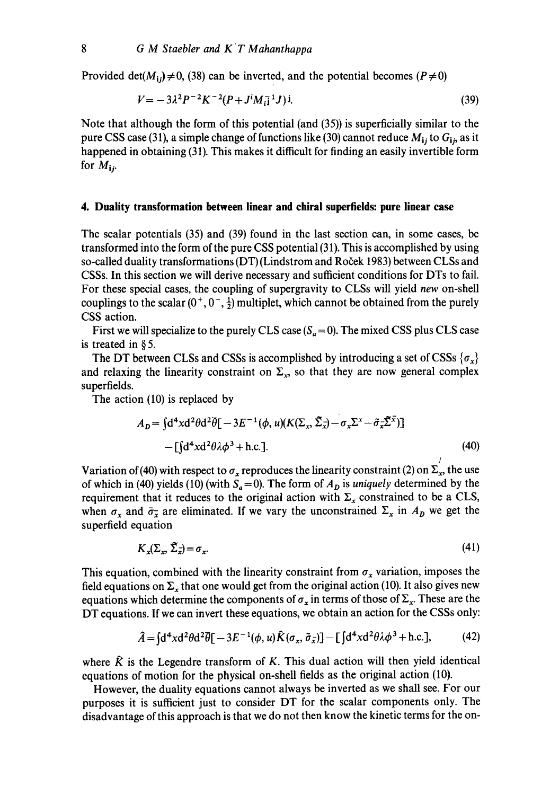Provided det( $M_{i,j} \neq 0$ , (38) can be inverted, and the potential becomes ( $P \neq 0$ )

$$
V = -3\lambda^2 P^{-2} K^{-2} (P + J^i M_{i\bar{j}}^{\bar{i}} J) i. \tag{39}
$$

Note that although the form of this potential (and (35)) is superficially similar to the pure CSS case (31), a simple change of functions like (30) cannot reduce *Mij* to *Gij,* as it happened in obtaining (31). This makes it difficult for finding an easily invertible form for  $M_{1i}$ .

## **4. Duality transformation between linear and chiral superfields: pure linear case**

The scalar potentials (35) and (39) found in the last section can, in some cases, be transformed into the form of the pure CSS potential (31). This is accomplished by using so-called duality transformations (DT) (Lindstrom and Roček 1983) between CLSs and CSSs. In this section we will derive necessary and sufficient conditions for DTs to fail. For these special cases, the coupling of supergravity to CLSs will yield *new* on-shell couplings to the scalar  $(0^+, 0^-, \frac{1}{2})$  multiplet, which cannot be obtained from the purely CSS action.

First we will specialize to the purely CLS case  $(S_a = 0)$ . The mixed CSS plus CLS case is treated in § 5.

The DT between CLSs and CSSs is accomplished by introducing a set of CSSs  $\{\sigma_x\}$ and relaxing the linearity constraint on  $\Sigma_x$ , so that they are now general complex superfields.

The action (10) is replaced by

$$
A_D = \int d^4x d^2\theta d^2\overline{\theta}[-3E^{-1}(\phi, u)(K(\Sigma_x, \tilde{\Sigma}_x) - \sigma_x \Sigma^x - \tilde{\sigma}_x \tilde{\Sigma}^x)]
$$
  
-
$$
- \left[ \int d^4x d^2\theta \lambda \phi^3 + \text{h.c.} \right].
$$
 (40)

/

Variation of (40) with respect to  $\sigma_x$  reproduces the linearity constraint (2) on  $\Sigma_x$ , the use of which in (40) yields (10) (with  $S_a = 0$ ). The form of  $A_D$  is *uniquely* determined by the requirement that it reduces to the original action with  $\Sigma_x$  constrained to be a CLS, when  $\sigma_x$  and  $\bar{\sigma}_x$  are eliminated. If we vary the unconstrained  $\Sigma_x$  in  $A_D$  we get the superfield equation

$$
K_{\mathbf{x}}(\Sigma_{\mathbf{x}}, \tilde{\Sigma}_{\mathbf{x}}) = \sigma_{\mathbf{x}}.\tag{41}
$$

This equation, combined with the linearity constraint from  $\sigma_x$  variation, imposes the field equations on  $\Sigma_x$  that one would get from the original action (10). It also gives new equations which determine the components of  $\sigma_x$  in terms of those of  $\Sigma_x$ . These are the DT equations. If we can invert these equations, we obtain an action for the CSSs only:

$$
\hat{A} = \int d^4x d^2\theta d^2\vec{\theta} \left[ -3E^{-1}(\phi, u)\hat{K}(\sigma_x, \tilde{\sigma}_{\bar{x}}) \right] - \left[ \int d^4x d^2\theta \lambda \phi^3 + \text{h.c.} \right],\tag{42}
$$

where  $\hat{K}$  is the Legendre transform of K. This dual action will then yield identical equations of motion for the physical on-shell fields as the original action (10).

However, the duality equations cannot always be inverted as we shall see. For our purposes it is sufficient just to consider DT for the scalar components only. The disadvantage of this approach is that we do not then know the kinetic terms for the on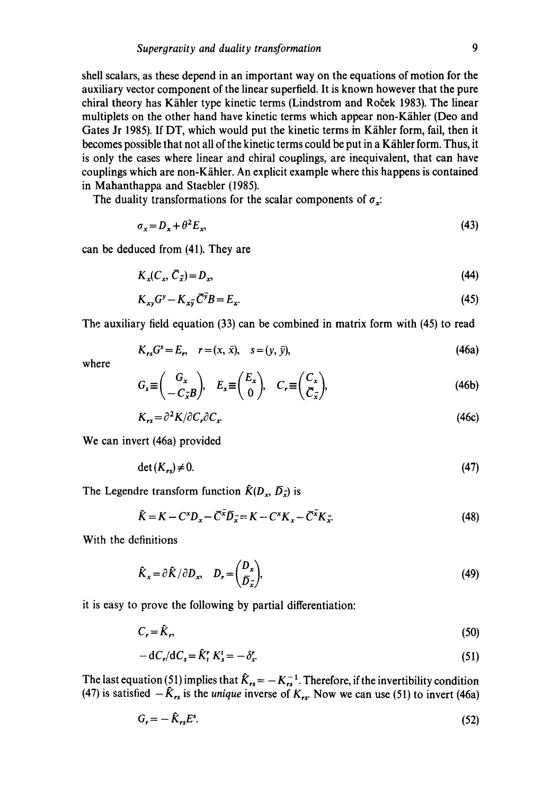shell scalars, as these depend in an important way on the equations of motion for the auxiliary vector component of the linear superfield. It is known however that the pure chiral theory has Kähler type kinetic terms (Lindstrom and Roček 1983). The linear multiplets on the other hand have kinetic terms which appear non-Kähler (Deo and Gates Jr 1985). If DT, which would put the kinetic terms in Kähler form, fail, then it becomes possible that not all of the kinetic terms could be put in a Kähler form. Thus, it is only the cases where linear and chiral couplings, are inequivalent, that can have couplings which are non-Kähler. An explicit example where this happens is contained in Mahanthappa and Staebler (1985).

The duality transformations for the scalar components of  $\sigma_x$ :

$$
\sigma_x = D_x + \theta^2 E_x,\tag{43}
$$

can be deduced from (41). They are

$$
K_x(C_x, \bar{C}_{\bar{x}}) = D_x,\tag{44}
$$

$$
K_{xy}G^y - K_{x\overline{y}}\overline{C}^{\overline{y}}B = E_{x}.
$$
\n
$$
(45)
$$

The auxiliary field equation (33) can be combined in matrix form with (45) to read

$$
K_{rs}G^{s} = E_{r}, \quad r = (x, \bar{x}), \quad s = (y, \bar{y}), \tag{46a}
$$

where

$$
G_s \equiv \begin{pmatrix} G_x \\ -C_{\overline{x}} B \end{pmatrix}, \quad E_s \equiv \begin{pmatrix} E_x \\ 0 \end{pmatrix}, \quad C_r \equiv \begin{pmatrix} C_x \\ C_{\overline{x}} \end{pmatrix}, \tag{46b}
$$

$$
K_{rs} = \partial^2 K / \partial C_r \partial C_s. \tag{46c}
$$

We can invert (46a) provided

$$
\det(K_{rs}) \neq 0. \tag{47}
$$

The Legendre transform function  $\hat{K}(D_x, \bar{D}_x)$  is

$$
\hat{K} = K - C^x D_x - \overline{C}^{\overline{x}} \overline{D}_{\overline{x}} = K - C^x K_x - \overline{C}^{\overline{x}} K_{\overline{x}}.
$$
\n(48)

With the definitions

$$
\hat{K}_x = \partial \hat{K} / \partial D_x, \quad D_r = \begin{pmatrix} D_x \\ \bar{D}_x \end{pmatrix},\tag{49}
$$

it is easy to prove the following by partial differentiation:

$$
C_r = \hat{K}_r,\tag{50}
$$

$$
-dC_r/dC_s = \hat{K}_t^r K_s^t = -\delta_s^r.
$$
\n(51)

The last equation (51) implies that  $K_{rs} = -K_{rs}^{-1}$ . Therefore, if the invertibility condition  $(47)$  is satisfied  $-K_{rs}$  is the *unique* inverse of  $K_{rs}$ . Now we can use (51) to invert (46a)

$$
G_r = -\hat{K}_{rs}E^s. \tag{52}
$$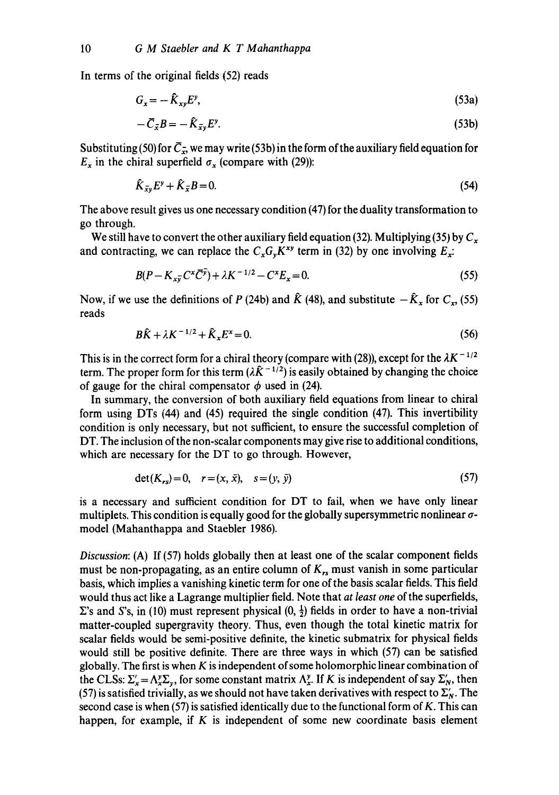In terms of the original fields (52) reads

$$
G_x = -\hat{K}_{xy} E^y,\tag{53a}
$$

$$
-\bar{C}_{\bar{x}}B = -\hat{K}_{\bar{x}y}E^y. \tag{53b}
$$

Substituting (50) for  $\overline{C}_{\overline{x}}$ , we may write (53b) in the form of the auxiliary field equation for  $E_x$  in the chiral superfield  $\sigma_x$  (compare with (29)):

$$
\hat{K}_{\bar{x}y}E^y + \hat{K}_{\bar{x}}B = 0. \tag{54}
$$

The above result gives us one necessary condition (47) for the duality transformation to go through.

We still have to convert the other auxiliary field equation (32). Multiplying (35) by  $C_x$ and contracting, we can replace the  $C_xG_vK^{xy}$  term in (32) by one involving  $E_x$ :

$$
B(P - K_{x\bar{v}}C^x\bar{C}^{\bar{v}}) + \lambda K^{-1/2} - C^x E_x = 0.
$$
\n(55)

Now, if we use the definitions of P (24b) and  $\hat{K}$  (48), and substitute  $-\hat{K}_{x}$  for  $C_{x}$ , (55) reads

$$
B\hat{K} + \lambda K^{-1/2} + \hat{K}_x E^x = 0.
$$
 (56)

This is in the correct form for a chiral theory (compare with (28)), except for the  $\lambda K^{-1/2}$ term. The proper form for this term  $(\lambda \hat{K}^{-1/2})$  is easily obtained by changing the choice of gauge for the chiral compensator  $\phi$  used in (24).

In summary, the conversion of both auxiliary field equations from linear to chiral form using DTs (44) and (45) required the single condition (47). This invertibility condition is only necessary, but not sufficient, to ensure the successful completion of DT. The inclusion of the non-scalar components may give rise to additional conditions, which are necessary for the DT to go through. However,

$$
\det(K_{rs}) = 0, \quad r = (x, \bar{x}), \quad s = (y, \bar{y})
$$
\n(57)

is a necessary and sufficient condition for DT to fail, when we have only linear multiplets. This condition is equally good for the globally supersymmetric nonlinear  $\sigma$ model (Mahanthappa and Staebler 1986).

*Discussion:* (A) If (57) holds globally then at least one of the scalar component fields must be non-propagating, as an entire column of  $K_{rs}$  must vanish in some particular basis, which implies a vanishing kinetic term for one of the basis scalar fields. This field would thus act like a Lagrange multiplier field. Note that *at least one* of the superfields,  $\Sigma$ 's and S's, in (10) must represent physical  $(0, \frac{1}{2})$  fields in order to have a non-trivial matter-coupled supergravity theory. Thus, even though the total kinetic matrix for scalar fields would be semi-positive definite, the kinetic submatrix for physical fields would still be positive definite. There are three ways in which (57) can be satisfied globally. The first is when  $K$  is independent of some holomorphic linear combination of the CLSs:  $\Sigma_x' = \Lambda_x^y \Sigma_y$ , for some constant matrix  $\Lambda_x^y$ . If K is independent of say  $\Sigma_y'$ , then (57) is satisfied trivially, as we should not have taken derivatives with respect to  $\Sigma'_N$ . The second case is when (57) is satisfied identically due to the functional form of K. This can happen, for example, if  $K$  is independent of some new coordinate basis element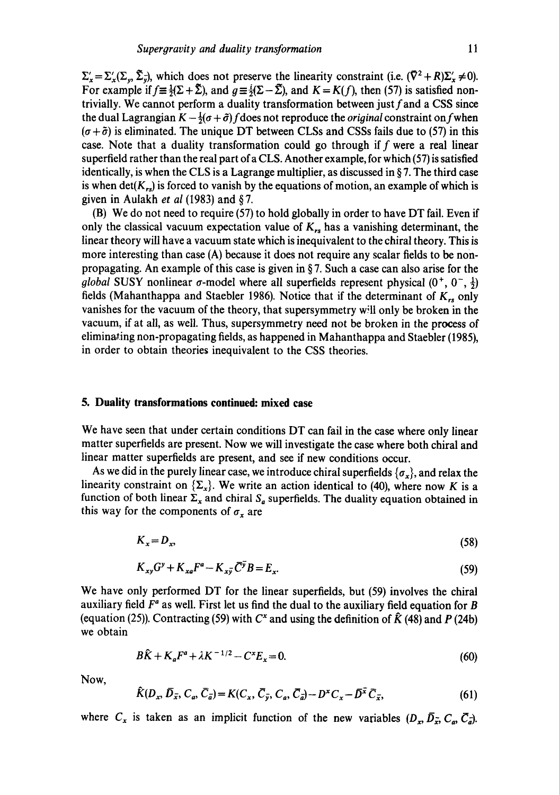$\Sigma'_{x} = \Sigma'_{x}(\Sigma_{y}, \tilde{\Sigma}_{y}),$  which does not preserve the linearity constraint (i.e.  $(\bar{\nabla}^2 + R)\Sigma'_{x} \neq 0$ ). For example if  $f = \frac{1}{2}(\Sigma + \tilde{\Sigma})$ , and  $g = \frac{i}{2}(\Sigma - \tilde{\Sigma})$ , and  $K = K(f)$ , then (57) is satisfied nontrivially. We cannot perform a duality transformation between just f and a CSS since the dual Lagrangian  $K - \frac{1}{2}(\sigma + \tilde{\sigma})$  f does not reproduce the *original* constraint on f when  $(\sigma + \tilde{\sigma})$  is eliminated. The unique DT between CLSs and CSSs fails due to (57) in this case. Note that a duality transformation could go through if f were a real linear superfield rather than the real part ofa CLS. Another example, for which (57) is satisfied identically, is when the CLS is a Lagrange multiplier, as discussed in  $\S$  7. The third case is when det( $K_{rs}$ ) is forced to vanish by the equations of motion, an example of which is given in Aulakh *et al* (1983) and § 7.

(B) We do not need to require (57) to hold globally in order to have DT fail. Even if only the classical vacuum expectation value of  $K_{rs}$  has a vanishing determinant, the linear theory will have a vacuum state which is inequivalent to the chiral theory. This is more interesting than case (A) because it does not require any scalar fields to be nonpropagating. An example of this case is given in § 7. Such a case can also arise for the *global* SUSY nonlinear  $\sigma$ -model where all superfields represent physical  $(0^+, 0^-, \frac{1}{2})$ fields (Mahanthappa and Staebler 1986). Notice that if the determinant of  $K_{rs}$  only vanishes for the vacuum of the theory, that supersymmetry will only be broken in the vacuum, if at all, as well. Thus, supersymmetry need not be broken in the process of eliminating non-propagating fields, as happened in Mahanthappa and Staebler (1985), in order to obtain theories inequivalent to the CSS theories.

#### **5. Duality transformations continued: mixed case**

We have seen that under certain conditions DT can fail in the case where only linear matter superfields are present. Now we will investigate the case where both chiral and linear matter superfields are present, and see if new conditions occur.

As we did in the purely linear case, we introduce chiral superfields  $\{\sigma_x\}$ , and relax the linearity constraint on  $\{\Sigma_x\}$ . We write an action identical to (40), where now K is a function of both linear  $\Sigma_x$  and chiral  $S_a$  superfields. The duality equation obtained in this way for the components of  $\sigma_x$  are

$$
K_x = D_x,\tag{58}
$$

$$
K_{xy}G^y + K_{xa}F^a - K_{x\overline{y}}\overline{C}^{\overline{y}}B = E_x.
$$
\n
$$
(59)
$$

We have only performed DT for the linear superfields, but (59) involves the chiral auxiliary field  $F^a$  as well. First let us find the dual to the auxiliary field equation for B (equation (25)). Contracting (59) with  $C^x$  and using the definition of  $\hat{K}$  (48) and P (24b) we obtain

$$
B\hat{K} + K_a F^a + \lambda K^{-1/2} - C^x E_x = 0.
$$
 (60)

Now,

$$
\widehat{K}(D_x, \overline{D}_{\overline{x}}, C_a, \overline{C}_{\overline{a}}) = K(C_x, \overline{C}_{\overline{y}}, C_a, \overline{C}_{\overline{a}}) - D^x C_x - \overline{D}^{\overline{x}} \overline{C}_{\overline{x}}, \tag{61}
$$

where  $C_x$  is taken as an implicit function of the new variables  $(D_x, \overline{D_x}, C_a, \overline{C_a})$ .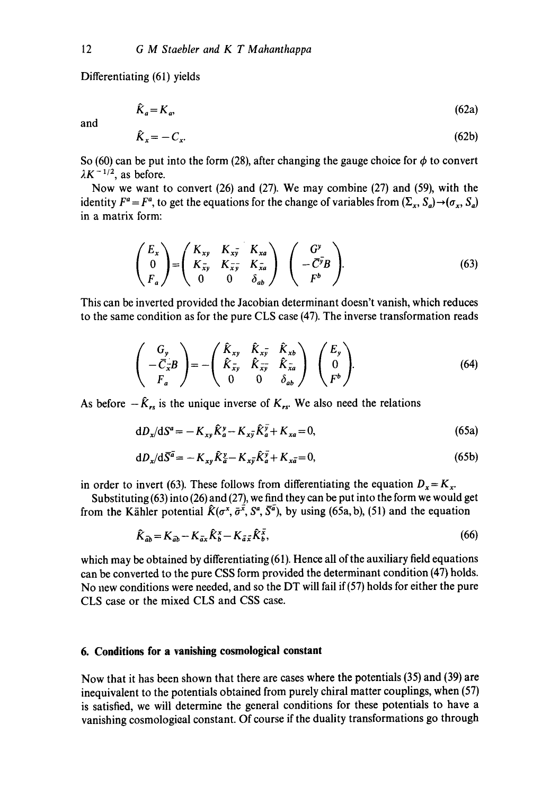Differentiating (61) yields

$$
\hat{K}_a = K_a,\tag{62a}
$$

and

$$
\hat{K}_x = -C_x. \tag{62b}
$$

So (60) can be put into the form (28), after changing the gauge choice for  $\phi$  to convert  $\lambda K^{-1/2}$ , as before.

Now we want to convert (26) and (27). We may combine (27) and (59), with the identity  $F^a = F^a$ , to get the equations for the change of variables from  $(\Sigma_x, S_a) \rightarrow (\sigma_x, S_a)$ in a matrix form:

$$
\begin{pmatrix} E_x \\ 0 \\ F_a \end{pmatrix} = \begin{pmatrix} K_{xy} & K_{x\overline{y}} & K_{xa} \\ K_{\overline{x}y} & K_{\overline{x}\overline{y}} & K_{\overline{x}a} \\ 0 & 0 & \delta_{ab} \end{pmatrix} \begin{pmatrix} G^y \\ -\overline{C}^{\overline{y}}B \\ F^b \end{pmatrix}.
$$
 (63)

This can be inverted provided the Jacobian determinant doesn't vanish, which reduces to the same condition as for the pure CLS case (47). The inverse transformation reads

$$
\begin{pmatrix}\nG_y \\
-\overline{C}_{\overline{x}}B \\
F_a\n\end{pmatrix} = -\begin{pmatrix}\n\hat{K}_{xy} & \hat{K}_{x\overline{y}} & \hat{K}_{xb} \\
\hat{K}_{\overline{x}y} & \hat{K}_{\overline{x}\overline{y}} & \hat{K}_{\overline{x}a} \\
0 & 0 & \delta_{ab}\n\end{pmatrix}\n\begin{pmatrix}\nE_y \\
0 \\
F^b\n\end{pmatrix}.
$$
\n(64)

As before  $-\hat{K}_{rs}$  is the unique inverse of  $K_{rs}$ . We also need the relations

$$
dD_x/dS^a = -K_{xy}\hat{K}_a^y - K_{x\bar{y}}\hat{K}_a^{\bar{y}} + K_{xa} = 0,
$$
\n(65a)

$$
dD_x/d\overline{S}^{\overline{a}} = -K_{xy}\hat{K}_{\overline{a}}^{\overline{v}} - K_{x\overline{y}}\hat{K}_{\overline{a}}^{\overline{y}} + K_{x\overline{a}} = 0, \qquad (65b)
$$

in order to invert (63). These follows from differentiating the equation  $D_x = K_x$ .

Substituting (63) into (26) and (27), we find they can be put into the form we would get from the Kähler potential  $\hat{K}(\sigma^x, \bar{\sigma}^{\bar{x}}, S^a, \bar{S}^{\bar{a}})$ , by using (65a, b), (51) and the equation

$$
\hat{K}_{\vec{a}\vec{b}} = K_{\vec{a}\vec{b}} - K_{\vec{a}\vec{x}} \hat{K}_{\vec{b}}^x - K_{\vec{a}\vec{x}} \hat{K}_{\vec{b}}^{\vec{x}},
$$
\n(66)

which may be obtained by differentiating (61). Hence all of the auxiliary field equations can be converted to the pure CSS form provided the determinant condition (47) holds. No new conditions were needed, and so the DT will fail if(57) holds for either the pure CLS case or the mixed CLS and CSS case.

## **6. Conditions for a vanishing cosmological constant**

Now that it has been shown that there are cases where the potentials (35) and (39) are inequivalent to the potentials obtained from purely chiral matter couplings, when (57) is satisfied, we will determine the general conditions for these potentials to have a vanishing cosmological constant. Of course if the duality transformations go through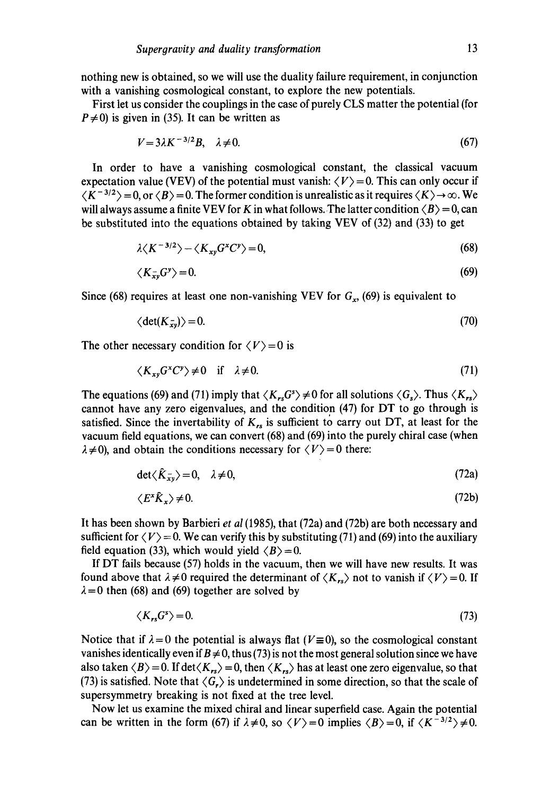nothing new is obtained, so we will use the duality failure requirement, in conjunction with a vanishing cosmological constant, to explore the new potentials.

First let us consider the couplings in the case of purely CLS matter the potential (for  $P\neq 0$ ) is given in (35). It can be written as

$$
V = 3\lambda K^{-3/2}B, \quad \lambda \neq 0. \tag{67}
$$

In order to have a vanishing cosmological constant, the classical vacuum expectation value (VEV) of the potential must vanish:  $\langle V \rangle = 0$ . This can only occur if  $\langle K^{-3/2} \rangle = 0$ , or  $\langle B \rangle = 0$ . The former condition is unrealistic as it requires  $\langle K \rangle \rightarrow \infty$ . We will always assume a finite VEV for K in what follows. The latter condition  $\langle B \rangle = 0$ , can be substituted into the equations obtained by taking VEV of (32) and (33) to get

$$
\lambda \langle K^{-3/2} \rangle - \langle K_{xy} G^x C^y \rangle = 0, \tag{68}
$$

$$
\langle K_{xy}^- G^y \rangle = 0. \tag{69}
$$

Since (68) requires at least one non-vanishing VEV for  $G_x$ , (69) is equivalent to

$$
\langle \det(K_{xy}) \rangle = 0. \tag{70}
$$

The other necessary condition for  $\langle V \rangle = 0$  is

$$
\langle K_{xy} G^x C^y \rangle \neq 0 \quad \text{if} \quad \lambda \neq 0. \tag{71}
$$

The equations (69) and (71) imply that  $\langle K_{rs}G^s \rangle \neq 0$  for all solutions  $\langle G_s \rangle$ . Thus  $\langle K_{rs} \rangle$ cannot have any zero eigenvalues, and the condition (47) for DT to go through is satisfied. Since the invertability of  $K_{rs}$  is sufficient to carry out DT, at least for the vacuum field equations, we can convert (68) and (69) into the purely chiral case (when  $\lambda \neq 0$ ), and obtain the conditions necessary for  $\langle V \rangle = 0$  there:

$$
\det \langle \hat{K}_{xy} \rangle = 0, \quad \lambda \neq 0,
$$
 (72a)

$$
\langle E^* \hat{K}_x \rangle \neq 0. \tag{72b}
$$

It has been shown by Barbieri *et al* (1985), that (72a) and (72b) are both necessary and sufficient for  $\langle V \rangle = 0$ . We can verify this by substituting (71) and (69) into the auxiliary field equation (33), which would yield  $\langle B \rangle = 0$ .

If DT fails because (57) holds in the vacuum, then we will have new results. It was found above that  $\lambda \neq 0$  required the determinant of  $\langle K_{rs} \rangle$  not to vanish if  $\langle V \rangle = 0$ . If  $\lambda = 0$  then (68) and (69) together are solved by

$$
\langle K_{rs}G^s \rangle = 0. \tag{73}
$$

Notice that if  $\lambda = 0$  the potential is always flat ( $V \equiv 0$ ), so the cosmological constant vanishes identically even if  $B \neq 0$ , thus (73) is not the most general solution since we have also taken  $\langle B \rangle = 0$ . If det $\langle K_{rs} \rangle = 0$ , then  $\langle K_{rs} \rangle$  has at least one zero eigenvalue, so that (73) is satisfied. Note that  $\langle G_r \rangle$  is undetermined in some direction, so that the scale of supersymmetry breaking is not fixed at the tree level.

Now let us examine the mixed chiral and linear superfield case. Again the potential can be written in the form (67) if  $\lambda \neq 0$ , so  $\langle V \rangle = 0$  implies  $\langle B \rangle = 0$ , if  $\langle K^{-3/2} \rangle \neq 0$ .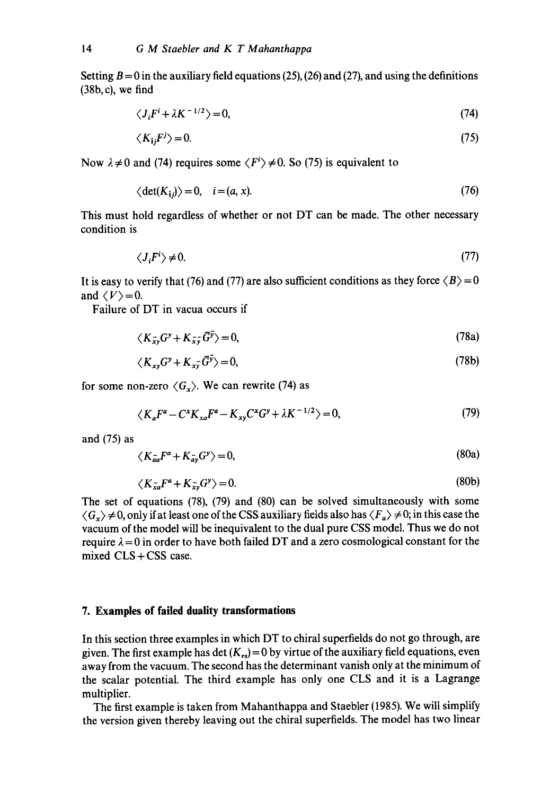Setting  $B = 0$  in the auxiliary field equations (25), (26) and (27), and using the definitions (38b, c), we find

$$
\langle J_i F^i + \lambda K^{-1/2} \rangle = 0, \tag{74}
$$

$$
\langle K_{ij}F^j \rangle = 0. \tag{75}
$$

Now  $\lambda \neq 0$  and (74) requires some  $\langle F^i \rangle \neq 0$ . So (75) is equivalent to

$$
\langle \det(K_{ij}) \rangle = 0, \quad i = (a, x). \tag{76}
$$

This must hold regardless of whether or not DT can be made. The other necessary condition is

$$
\langle J_i F^i \rangle \neq 0. \tag{77}
$$

It is easy to verify that (76) and (77) are also sufficient conditions as they force  $\langle B \rangle = 0$ and  $\langle V \rangle = 0$ .

Failure of DT in vacua occurs if

$$
\langle K_{xy} G^y + K_{xy} \overline{G}^y \rangle = 0, \tag{78a}
$$

$$
\langle K_{xy}G^y + K_{x\overline{y}}\overline{G}^y \rangle = 0, \tag{78b}
$$

for some non-zero  $\langle G_x \rangle$ . We can rewrite (74) as

$$
\langle K_a F^a - C^* K_{xa} F^a - K_{xy} C^* G^y + \lambda K^{-1/2} \rangle = 0, \tag{79}
$$

and (75) as

$$
\langle K_{aa}^- F^a + K_{av}^- G^y \rangle = 0,\tag{80a}
$$

$$
\langle K_{xa}F^a + K_{xy}G^y \rangle = 0. \tag{80b}
$$

The set of equations (78), (79) and (80) can be solved simultaneously with some  $\langle G_x \rangle \neq 0$ , only if at least one of the CSS auxiliary fields also has  $\langle F_a \rangle \neq 0$ ; in this case the vacuum of the model will be inequivalent to the dual pure CSS model. Thus we do not require  $\lambda = 0$  in order to have both failed DT and a zero cosmological constant for the mixed  $CLS + CSS$  case.

## **7. Examples of failed duality transformations**

In this section three examples in which DT to chiral superfields do not go through, are given. The first example has det  $(K_{rs}) = 0$  by virtue of the auxiliary field equations, even away from the vacuum. The second has the determinant vanish only at the minimum of the scalar potential. The third example has only one CLS and it is a Lagrange multiplier.

The first example is taken from Mahanthappa and Staebler (1985). We wilt simplify the version given thereby leaving out the chiral superfields. The model has two linear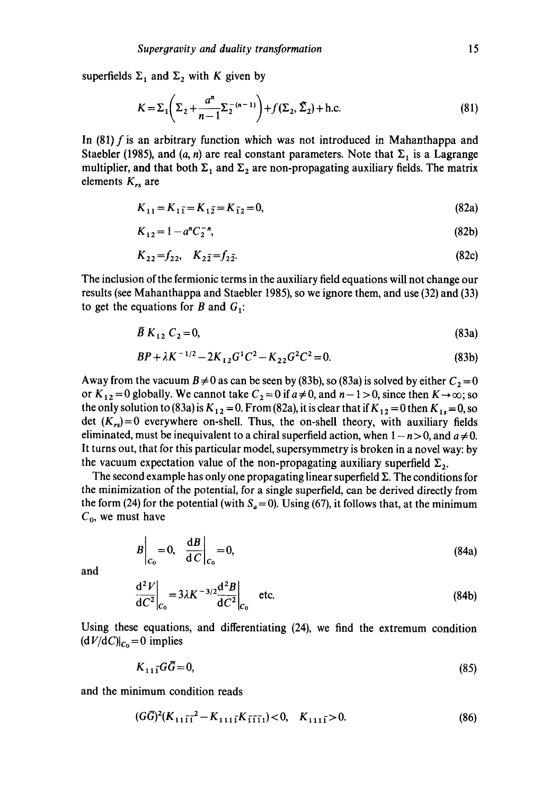superfields  $\Sigma_1$  and  $\Sigma_2$  with K given by

$$
K = \Sigma_1 \left( \Sigma_2 + \frac{a^n}{n-1} \Sigma_2^{-(n-1)} \right) + f(\Sigma_2, \tilde{\Sigma}_2) + \text{h.c.}
$$
 (81)

In (81)  $f$  is an arbitrary function which was not introduced in Mahanthappa and Staebler (1985), and (a, n) are real constant parameters. Note that  $\Sigma_1$  is a Lagrange multiplier, and that both  $\Sigma_1$  and  $\Sigma_2$  are non-propagating auxiliary fields. The matrix elements *K,s* are

$$
K_{11} = K_{11} = K_{12} = K_{12} = 0,
$$
\n(82a)

$$
K_{12} = 1 - a^n C_2^{-n},\tag{82b}
$$

$$
K_{22} = f_{22}, \quad K_{2\bar{2}} = f_{2\bar{2}}.\tag{82c}
$$

The inclusion of the fermionic terms in the auxiliary field equations will not change our results (see Mahanthappa and Staebler 1985), so we ignore them, and use (32) and (33) to get the equations for B and  $G_1$ :

$$
\overline{B} K_{12} C_2 = 0, \tag{83a}
$$

$$
BP + \lambda K^{-1/2} - 2K_{12}G^{1}C^{2} - K_{22}G^{2}C^{2} = 0.
$$
 (83b)

Away from the vacuum  $B \neq 0$  as can be seen by (83b), so (83a) is solved by either  $C_2 = 0$ or  $K_{12} = 0$  globally. We cannot take  $C_2 = 0$  if  $a \neq 0$ , and  $n - 1 > 0$ , since then  $K \rightarrow \infty$ ; so the only solution to (83a) is  $K_{12} = 0$ . From (82a), it is clear that if  $K_{12} = 0$  then  $K_{13} = 0$ , so det  $(K_{rs})=0$  everywhere on-shell. Thus, the on-shell theory, with auxiliary fields eliminated, must be inequivalent to a chiral superfield action, when  $1 - n > 0$ , and  $a \neq 0$ . It turns out, that for this particular model, supersymmetry is broken in a novel way: by the vacuum expectation value of the non-propagating auxiliary superfield  $\Sigma_2$ .

The second example has only one propagating linear superfield  $\Sigma$ . The conditions for the minimization of the potential, for a single superfield, can be derived directly from the form (24) for the potential (with  $S_a = 0$ ). Using (67), it follows that, at the minimum  $C_0$ , we must have

$$
B\bigg|_{C_0} = 0, \quad \frac{\mathrm{d}B}{\mathrm{d}C}\bigg|_{C_0} = 0,\tag{84a}
$$

and

$$
\left. \frac{\mathrm{d}^2 V}{\mathrm{d}C^2} \right|_{C_0} = 3\lambda K^{-3/2} \frac{\mathrm{d}^2 B}{\mathrm{d}C^2} \bigg|_{C_0} \quad \text{etc.} \tag{84b}
$$

Using these equations, and differentiating (24), we find the extremum condition  $(dV/dC)|_{C_0} = 0$  implies

$$
K_{111}G\overline{G}=0,\t\t(85)
$$

and the minimum condition reads

$$
(G\overline{G})^2(K_{11\overline{11}}^2 - K_{111\overline{1}}K_{\overline{1111}}) < 0, \quad K_{111\overline{1}} > 0. \tag{86}
$$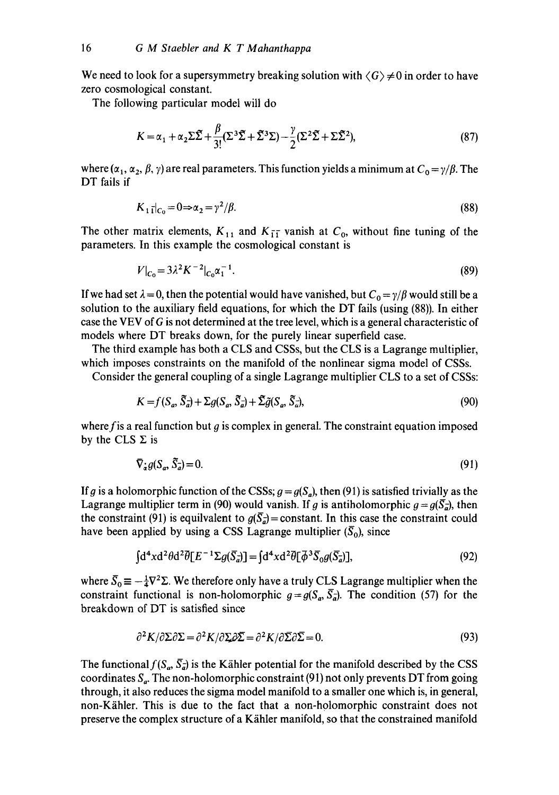We need to look for a supersymmetry breaking solution with  $\langle G \rangle \neq 0$  in order to have zero cosmological constant.

The following particular model will do

$$
K = \alpha_1 + \alpha_2 \Sigma \tilde{\Sigma} + \frac{\beta}{3!} (\Sigma^3 \tilde{\Sigma} + \tilde{\Sigma}^3 \Sigma) - \frac{\gamma}{2} (\Sigma^2 \tilde{\Sigma} + \Sigma \tilde{\Sigma}^2),
$$
 (87)

where  $(\alpha_1, \alpha_2, \beta, \gamma)$  are real parameters. This function yields a minimum at  $C_0 = \gamma/\beta$ . The DT fails if

$$
K_{1\bar{1}}|_{C_0} = 0 \Rightarrow \alpha_2 = \gamma^2/\beta. \tag{88}
$$

The other matrix elements,  $K_{11}$  and  $K_{11}$  vanish at  $C_0$ , without fine tuning of the parameters. In this example the cosmological constant is

$$
V|_{C_0} = 3\lambda^2 K^{-2}|_{C_0} \alpha_1^{-1}.
$$
\n(89)

If we had set  $\lambda = 0$ , then the potential would have vanished, but  $C_0 = \gamma/\beta$  would still be a solution to the auxiliary field equations, for which the DT fails (using (88)). In either case the VEV of G is not determined at the tree level, which is a general characteristic of models where DT breaks down, for the purely linear superfield case.

The third example has both a CLS and CSSs, but the CLS is a Lagrange multiplier, which imposes constraints on the manifold of the nonlinear sigma model of CSSs.

Consider the general coupling of a single Lagrange multiplier CLS to a set of CSSs:

$$
K = f(S_a, \tilde{S}_a) + \Sigma g(S_a, \tilde{S}_a) + \tilde{\Sigma} \tilde{g}(S_a, \tilde{S}_a),
$$
\n
$$
(90)
$$

where f is a real function but  $g$  is complex in general. The constraint equation imposed by the CLS  $\Sigma$  is

$$
\nabla_{\dot{\mathbf{x}}} g(\mathbf{S}_a, \tilde{\mathbf{S}}_a) = 0. \tag{91}
$$

If g is a holomorphic function of the CSSs;  $q = g(S_a)$ , then (91) is satisfied trivially as the Lagrange multiplier term in (90) would vanish. If g is antiholomorphic  $g = g(\bar{S}_d)$ , then the constraint (91) is equilvalent to  $g(\bar{S}_q)$  = constant. In this case the constraint could have been applied by using a CSS Lagrange multiplier  $(\bar{S}_0)$ , since

$$
\int d^4x d^2\theta d^2\overline{\theta}[E^{-1}\Sigma g(\overline{S}_a)] = \int d^4x d^2\overline{\theta}[\overline{\phi}^3 \overline{S}_0 g(\overline{S}_a)],\tag{92}
$$

where  $\bar{S}_0 \equiv -\frac{1}{4} \nabla^2 \Sigma$ . We therefore only have a truly CLS Lagrange multiplier when the constraint functional is non-holomorphic  $q = q(S_n, \overline{S_n})$ . The condition (57) for the breakdown of DT is satisfied since

$$
\partial^2 K/\partial \Sigma \partial \Sigma = \partial^2 K/\partial \Sigma \partial \Sigma = \partial^2 K/\partial \Sigma \partial \Sigma = 0. \tag{93}
$$

The functional  $f(S_{a}, \overline{S}_{\overline{a}})$  is the Kähler potential for the manifold described by the CSS coordinates  $S_a$ . The non-holomorphic constraint (91) not only prevents DT from going through, it also reduces the sigma model manifold to a smaller one which is, in general, non-K/ihler. This is due to the fact that a non-h01omorphic constraint does not preserve the complex structure of a K/ihler manifold, so that the constrained manifold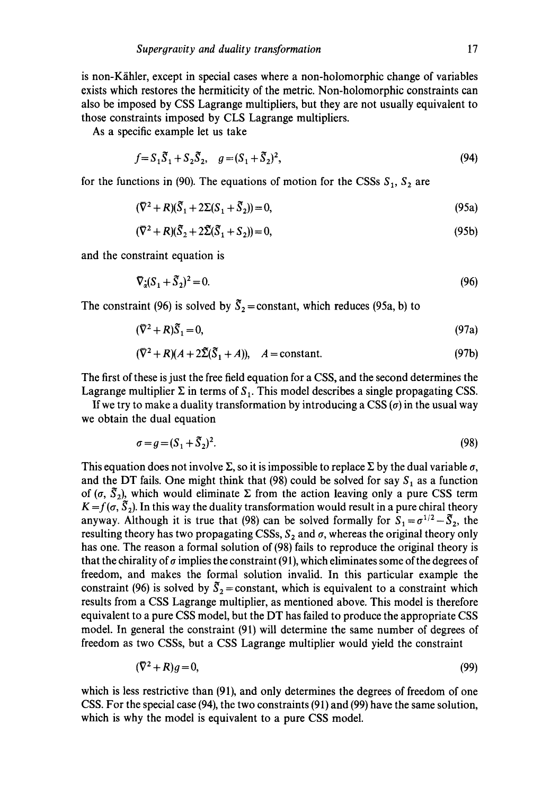is non-K/ihler, except in special cases where a non-holomorphic change of variables exists which restores the hermiticity of the metric. Non-holomorphic constraints can also be imposed by CSS Lagrange multipliers, but they are not usually equivalent to those constraints imposed by CLS Lagrange multipliers.

As a specific example let us take

$$
f = S_1 \tilde{S}_1 + S_2 \tilde{S}_2, \quad g = (S_1 + \tilde{S}_2)^2,
$$
\n(94)

for the functions in (90). The equations of motion for the CSSs  $S_1$ ,  $S_2$  are

$$
(\nabla^2 + R)(\widetilde{S}_1 + 2\Sigma(S_1 + \widetilde{S}_2)) = 0,\tag{95a}
$$

$$
(\nabla^2 + R)(\tilde{S}_2 + 2\tilde{\Sigma}(\tilde{S}_1 + S_2)) = 0,\tag{95b}
$$

and the constraint equation is

$$
\nabla_{\dot{x}} (S_1 + \tilde{S}_2)^2 = 0. \tag{96}
$$

The constraint (96) is solved by  $\tilde{S}_2$  = constant, which reduces (95a, b) to

$$
(\bar{\nabla}^2 + R)\tilde{S}_1 = 0,\tag{97a}
$$

$$
(\nabla^2 + R)(A + 2\tilde{\Sigma}(\tilde{S}_1 + A)), \quad A = \text{constant.} \tag{97b}
$$

The first of these is just the free field equation for a CSS, and the second determines the Lagrange multiplier  $\Sigma$  in terms of  $S<sub>1</sub>$ . This model describes a single propagating CSS.

If we try to make a duality transformation by introducing a CSS  $(\sigma)$  in the usual way we obtain the dual equation

$$
\sigma = g = (S_1 + \tilde{S}_2)^2. \tag{98}
$$

This equation does not involve  $\Sigma$ , so it is impossible to replace  $\Sigma$  by the dual variable  $\sigma$ , and the DT fails. One might think that (98) could be solved for say  $S_1$  as a function of  $(\sigma, \tilde{S}_2)$ , which would eliminate  $\Sigma$  from the action leaving only a pure CSS term  $K = f(\sigma, \tilde{S}_2)$ . In this way the duality transformation would result in a pure chiral theory anyway. Although it is true that (98) can be solved formally for  $S_1 = \sigma^{1/2} - \tilde{S}_2$ , the resulting theory has two propagating CSSs,  $S_2$  and  $\sigma$ , whereas the original theory only has one. The reason a formal solution of (98) fails to reproduce the original theory is that the chirality of  $\sigma$  implies the constraint (91), which eliminates some of the degrees of freedom, and makes the formal solution invalid. In this particular example the constraint (96) is solved by  $\bar{S}_2$  = constant, which is equivalent to a constraint which results from a CSS Lagrange multiplier, as mentioned above. This model is therefore equivalent to a pure CSS model, but the DT has failed to produce the appropriate CSS model. In general the constraint (91) will determine the same number of degrees of freedom as two CSSs, but a CSS Lagrange multiplier would yield the constraint

$$
(\nabla^2 + R)g = 0,\tag{99}
$$

which is less restrictive than (91), and only determines the degrees of freedom of one CSS. For the special case (94), the two constraints (91) and (99) have the same solution, which is why the model is equivalent to a pure CSS model.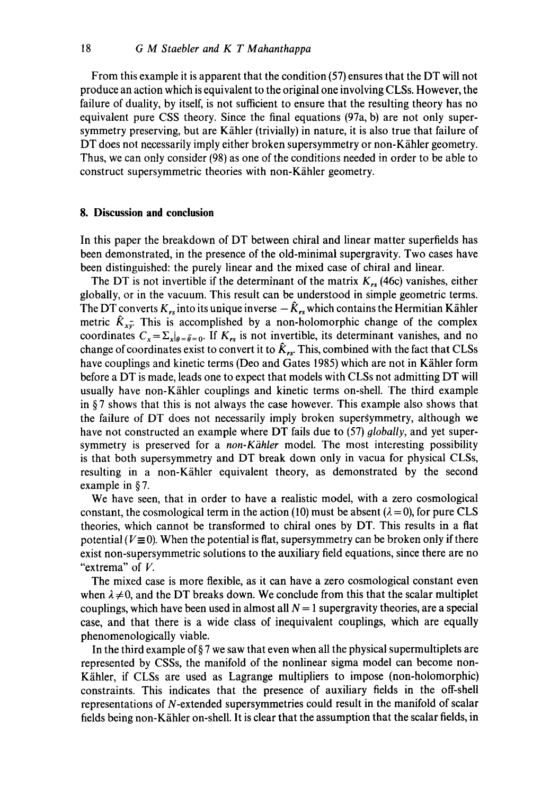From this example it is apparent that the condition (57) ensures that the DT will not produce an action which is equivalent to the original one involving CLSs. However, the failure of duality, by itself, is not sufficient to ensure that the resulting theory has no equivalent pure CSS theory. Since the final equations (97a, b) are not only supersymmetry preserving, but are Kähler (trivially) in nature, it is also true that failure of DT does not necessarily imply either broken supersymmetry or non-Kähler geometry. Thus, we can only consider (98) as one of the conditions needed in order to be able to construct supersymmetric theories with non-Kähler geometry.

#### **8. Discussion and conclusion**

In this paper the breakdown of DT between chiral and linear matter superfields has been demonstrated, in the presence of the old-minimal supergravity. Two cases have been distinguished: the purely linear and the mixed case of chiral and linear.

The DT is not invertible if the determinant of the matrix  $K_{rs}$  (46c) vanishes, either globally, or in the vacuum. This result can be understood in simple geometric terms. The DT converts  $K_{rs}$  into its unique inverse  $-\hat{K}_{rs}$  which contains the Hermitian Kähler metric  $\hat{K}_{x\bar{y}}$ . This is accomplished by a non-holomorphic change of the complex coordinates  $C_x = \sum_{x|_{\theta}=\bar{\theta}=0}$ . If  $K_{rs}$  is not invertible, its determinant vanishes, and no change of coordinates exist to convert it to  $\hat{K}_{rs}$ . This, combined with the fact that CLSs have couplings and kinetic terms (Deo and Gates 1985) which are not in Kähler form before a DT is made, leads one to expect that models with CLSs not admitting DT will usually have non-Kähler couplings and kinetic terms on-shell. The third example in § 7 shows that this is not always the case however. This example also shows that the failure of DT does not necessarily imply broken supergymmetry, although we have not constructed an example where DT fails due to (57) *globally,* and yet supersymmetry is preserved for a *non-Kähler* model. The most interesting possibility is that both supersymmetry and DT break down only in vacua for physical CLSs, resulting in a non-Kähler equivalent theory, as demonstrated by the second example in § 7.

We have seen, that in order to have a realistic model, with a zero cosmological constant, the cosmological term in the action (10) must be absent ( $\lambda = 0$ ), for pure CLS theories, which cannot be transformed to chiral ones by DT. This results in a fiat potential ( $V \equiv 0$ ). When the potential is flat, supersymmetry can be broken only if there exist non-supersymmetric solutions to the auxiliary field equations, since there are no "extrema" of V.

The mixed case is more flexible, as it can have a zero cosmological constant even when  $\lambda \neq 0$ , and the DT breaks down. We conclude from this that the scalar multiplet couplings, which have been used in almost all  $N = 1$  supergravity theories, are a special case, and that there is a wide class of inequivalent couplings, which are equally phenomenologically viable.

In the third example of  $\S 7$  we saw that even when all the physical supermultiplets are represented by CSSs, the manifold of the nonlinear sigma model can become non-Kähler, if CLSs are used as Lagrange multipliers to impose (non-holomorphic) constraints. This indicates that the presence of auxiliary fields in the off-shell representations of N-extended supersymmetries could result in the manifold of scalar fields being non-K/ihler on-shell. It is clear that the assumption that the scalar fields, in